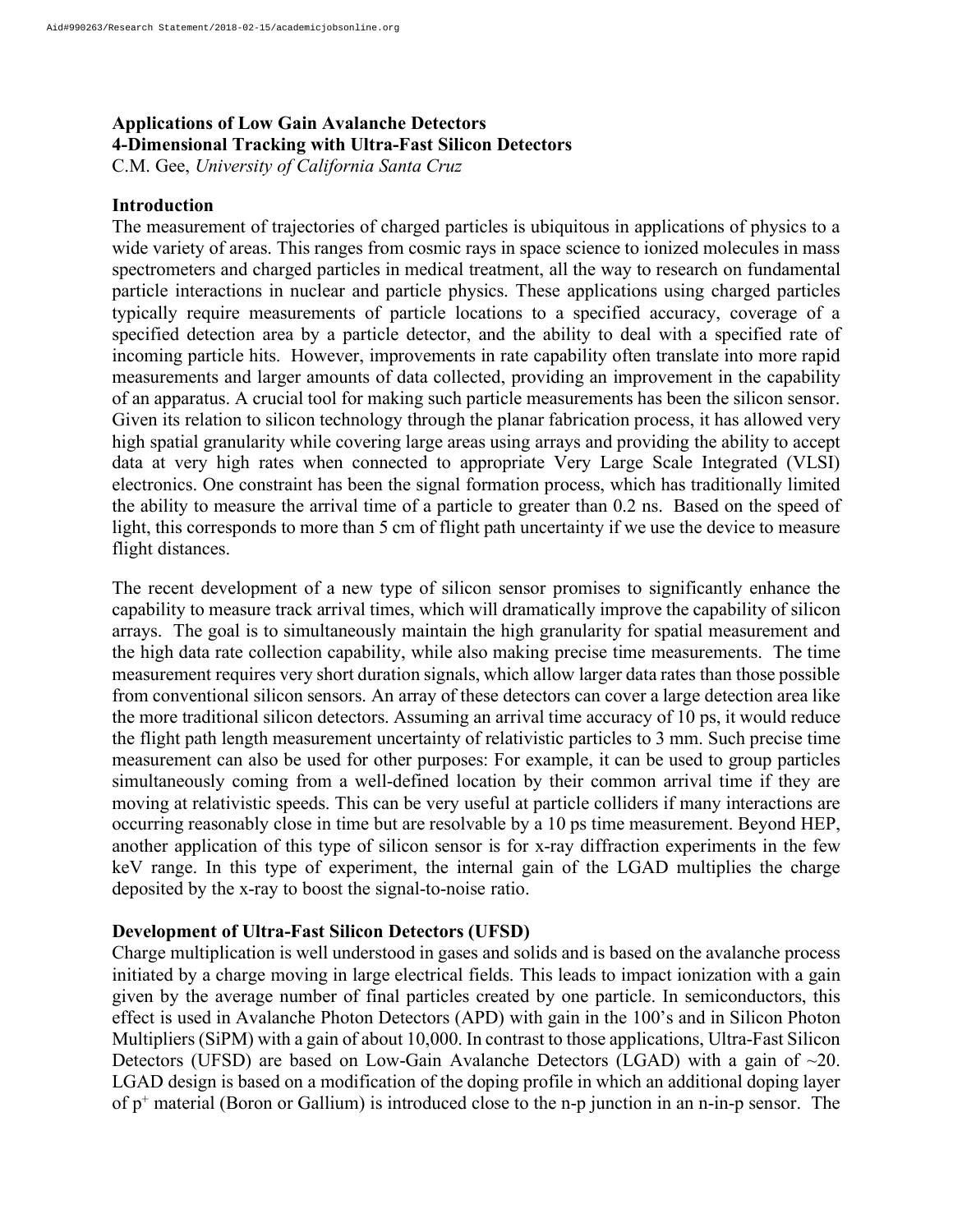# **Applications of Low Gain Avalanche Detectors 4-Dimensional Tracking with Ultra-Fast Silicon Detectors**

C.M. Gee, *University of California Santa Cruz*

#### **Introduction**

The measurement of trajectories of charged particles is ubiquitous in applications of physics to a wide variety of areas. This ranges from cosmic rays in space science to ionized molecules in mass spectrometers and charged particles in medical treatment, all the way to research on fundamental particle interactions in nuclear and particle physics. These applications using charged particles typically require measurements of particle locations to a specified accuracy, coverage of a specified detection area by a particle detector, and the ability to deal with a specified rate of incoming particle hits. However, improvements in rate capability often translate into more rapid measurements and larger amounts of data collected, providing an improvement in the capability of an apparatus. A crucial tool for making such particle measurements has been the silicon sensor. Given its relation to silicon technology through the planar fabrication process, it has allowed very high spatial granularity while covering large areas using arrays and providing the ability to accept data at very high rates when connected to appropriate Very Large Scale Integrated (VLSI) electronics. One constraint has been the signal formation process, which has traditionally limited the ability to measure the arrival time of a particle to greater than 0.2 ns. Based on the speed of light, this corresponds to more than 5 cm of flight path uncertainty if we use the device to measure flight distances.

The recent development of a new type of silicon sensor promises to significantly enhance the capability to measure track arrival times, which will dramatically improve the capability of silicon arrays. The goal is to simultaneously maintain the high granularity for spatial measurement and the high data rate collection capability, while also making precise time measurements. The time measurement requires very short duration signals, which allow larger data rates than those possible from conventional silicon sensors. An array of these detectors can cover a large detection area like the more traditional silicon detectors. Assuming an arrival time accuracy of 10 ps, it would reduce the flight path length measurement uncertainty of relativistic particles to 3 mm. Such precise time measurement can also be used for other purposes: For example, it can be used to group particles simultaneously coming from a well-defined location by their common arrival time if they are moving at relativistic speeds. This can be very useful at particle colliders if many interactions are occurring reasonably close in time but are resolvable by a 10 ps time measurement. Beyond HEP, another application of this type of silicon sensor is for x-ray diffraction experiments in the few keV range. In this type of experiment, the internal gain of the LGAD multiplies the charge deposited by the x-ray to boost the signal-to-noise ratio.

#### **Development of Ultra-Fast Silicon Detectors (UFSD)**

Charge multiplication is well understood in gases and solids and is based on the avalanche process initiated by a charge moving in large electrical fields. This leads to impact ionization with a gain given by the average number of final particles created by one particle. In semiconductors, this effect is used in Avalanche Photon Detectors (APD) with gain in the 100's and in Silicon Photon Multipliers (SiPM) with a gain of about 10,000. In contrast to those applications, Ultra-Fast Silicon Detectors (UFSD) are based on Low-Gain Avalanche Detectors (LGAD) with a gain of ~20. LGAD design is based on a modification of the doping profile in which an additional doping layer of p<sup>+</sup> material (Boron or Gallium) is introduced close to the n-p junction in an n-in-p sensor. The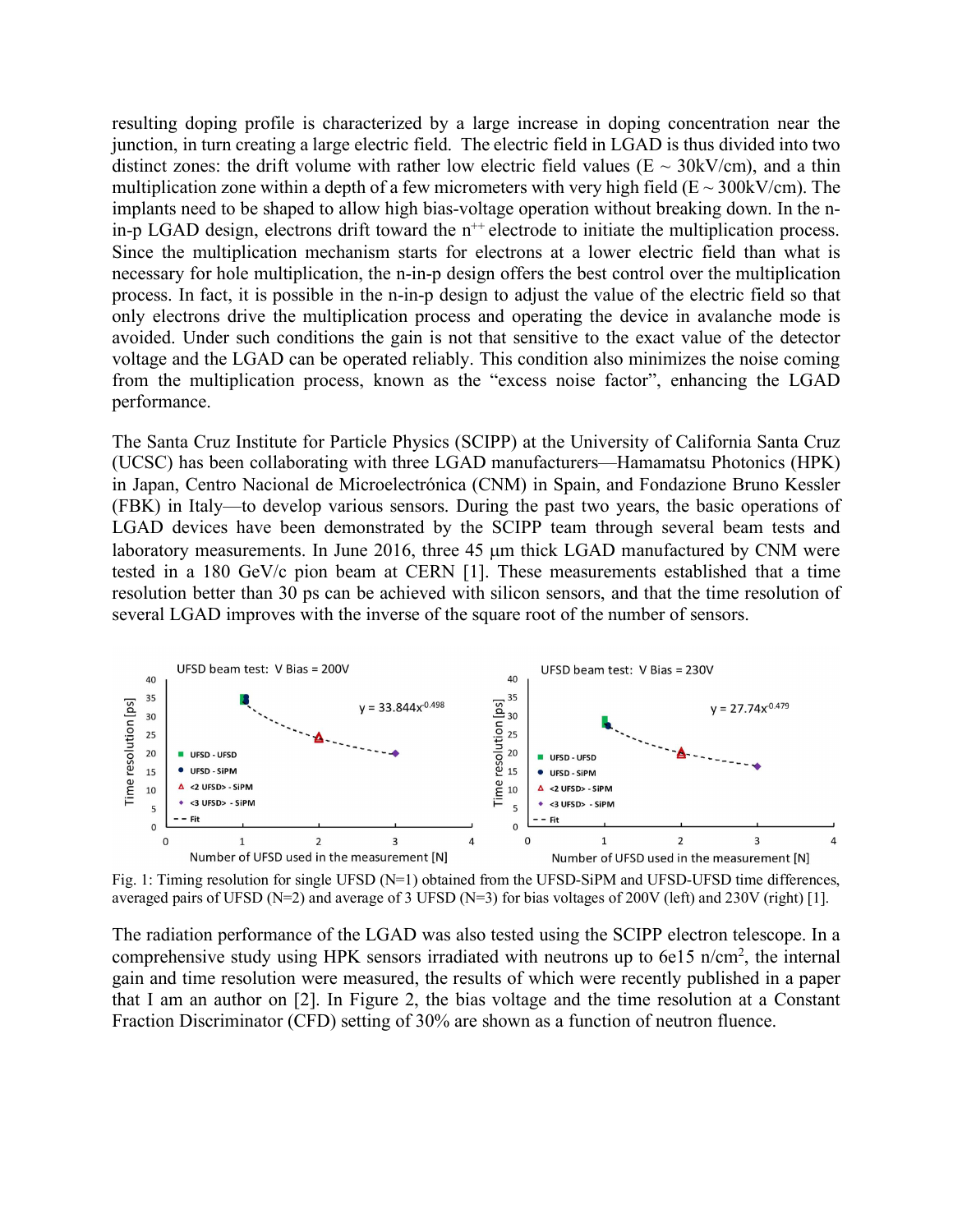resulting doping profile is characterized by a large increase in doping concentration near the junction, in turn creating a large electric field. The electric field in LGAD is thus divided into two distinct zones: the drift volume with rather low electric field values ( $E \sim 30 \text{kV/cm}$ ), and a thin multiplication zone within a depth of a few micrometers with very high field ( $E \sim 300 \text{kV/cm}$ ). The implants need to be shaped to allow high bias-voltage operation without breaking down. In the nin-p LGAD design, electrons drift toward the  $n^{++}$  electrode to initiate the multiplication process. Since the multiplication mechanism starts for electrons at a lower electric field than what is necessary for hole multiplication, the n-in-p design offers the best control over the multiplication process. In fact, it is possible in the n-in-p design to adjust the value of the electric field so that only electrons drive the multiplication process and operating the device in avalanche mode is avoided. Under such conditions the gain is not that sensitive to the exact value of the detector voltage and the LGAD can be operated reliably. This condition also minimizes the noise coming from the multiplication process, known as the "excess noise factor", enhancing the LGAD performance.

The Santa Cruz Institute for Particle Physics (SCIPP) at the University of California Santa Cruz (UCSC) has been collaborating with three LGAD manufacturers—Hamamatsu Photonics (HPK) in Japan, Centro Nacional de Microelectrónica (CNM) in Spain, and Fondazione Bruno Kessler (FBK) in Italy—to develop various sensors. During the past two years, the basic operations of LGAD devices have been demonstrated by the SCIPP team through several beam tests and laboratory measurements. In June 2016, three 45 um thick LGAD manufactured by CNM were tested in a 180 GeV/c pion beam at CERN [1]. These measurements established that a time resolution better than 30 ps can be achieved with silicon sensors, and that the time resolution of several LGAD improves with the inverse of the square root of the number of sensors.



Fig. 1: Timing resolution for single UFSD (N=1) obtained from the UFSD-SiPM and UFSD-UFSD time differences, averaged pairs of UFSD (N=2) and average of 3 UFSD (N=3) for bias voltages of 200V (left) and 230V (right) [1].

The radiation performance of the LGAD was also tested using the SCIPP electron telescope. In a comprehensive study using HPK sensors irradiated with neutrons up to 6e15 n/cm<sup>2</sup>, the internal gain and time resolution were measured, the results of which were recently published in a paper that I am an author on [2]. In Figure 2, the bias voltage and the time resolution at a Constant Fraction Discriminator (CFD) setting of 30% are shown as a function of neutron fluence.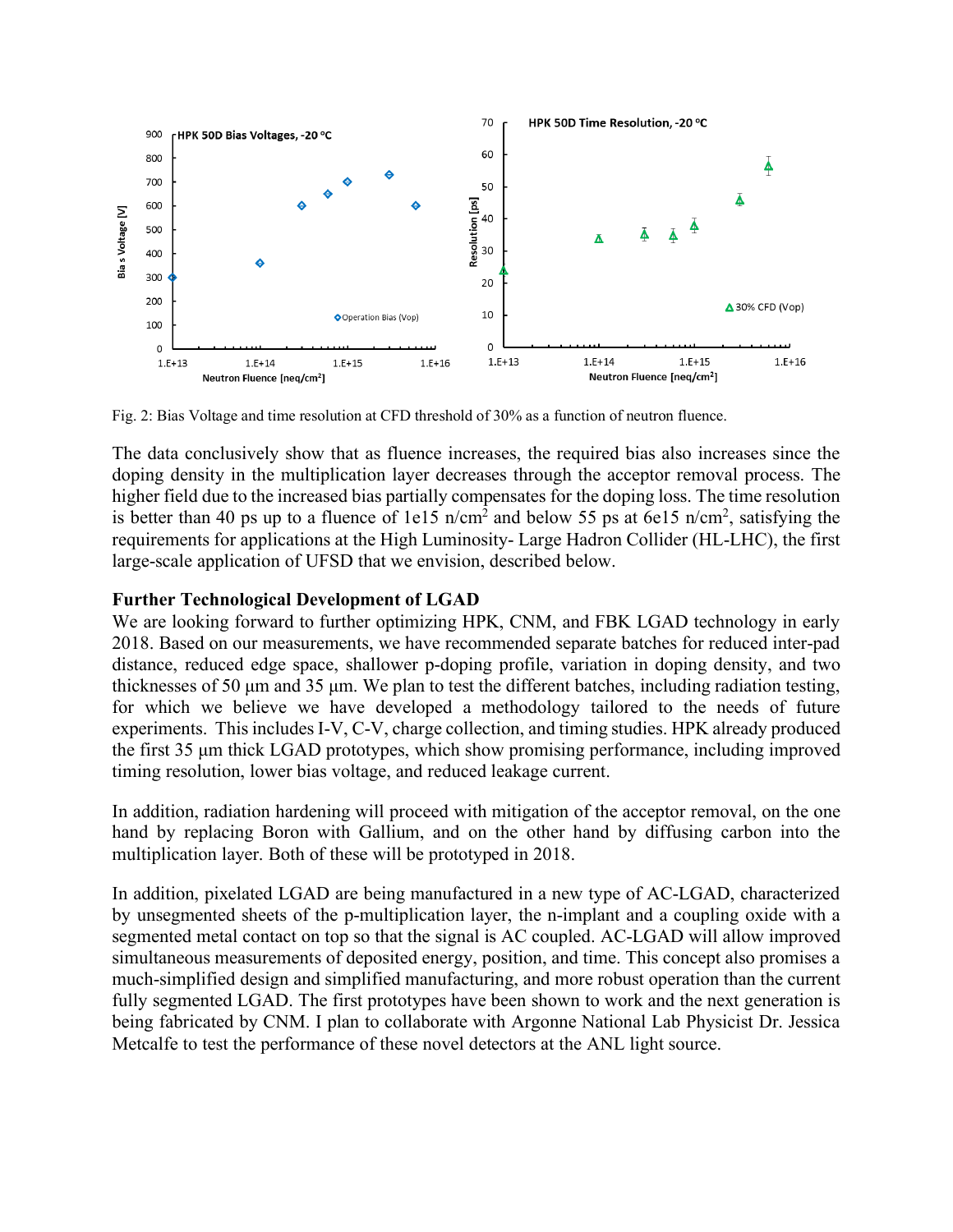

Fig. 2: Bias Voltage and time resolution at CFD threshold of 30% as a function of neutron fluence.

The data conclusively show that as fluence increases, the required bias also increases since the doping density in the multiplication layer decreases through the acceptor removal process. The higher field due to the increased bias partially compensates for the doping loss. The time resolution is better than 40 ps up to a fluence of 1e15  $n/cm<sup>2</sup>$  and below 55 ps at 6e15  $n/cm<sup>2</sup>$ , satisfying the requirements for applications at the High Luminosity- Large Hadron Collider (HL-LHC), the first large-scale application of UFSD that we envision, described below.

#### **Further Technological Development of LGAD**

We are looking forward to further optimizing HPK, CNM, and FBK LGAD technology in early 2018. Based on our measurements, we have recommended separate batches for reduced inter-pad distance, reduced edge space, shallower p-doping profile, variation in doping density, and two thicknesses of 50 µm and 35 µm. We plan to test the different batches, including radiation testing, for which we believe we have developed a methodology tailored to the needs of future experiments. This includes I-V, C-V, charge collection, and timing studies. HPK already produced the first 35 µm thick LGAD prototypes, which show promising performance, including improved timing resolution, lower bias voltage, and reduced leakage current.

In addition, radiation hardening will proceed with mitigation of the acceptor removal, on the one hand by replacing Boron with Gallium, and on the other hand by diffusing carbon into the multiplication layer. Both of these will be prototyped in 2018.

In addition, pixelated LGAD are being manufactured in a new type of AC-LGAD, characterized by unsegmented sheets of the p-multiplication layer, the n-implant and a coupling oxide with a segmented metal contact on top so that the signal is AC coupled. AC-LGAD will allow improved simultaneous measurements of deposited energy, position, and time. This concept also promises a much-simplified design and simplified manufacturing, and more robust operation than the current fully segmented LGAD. The first prototypes have been shown to work and the next generation is being fabricated by CNM. I plan to collaborate with Argonne National Lab Physicist Dr. Jessica Metcalfe to test the performance of these novel detectors at the ANL light source.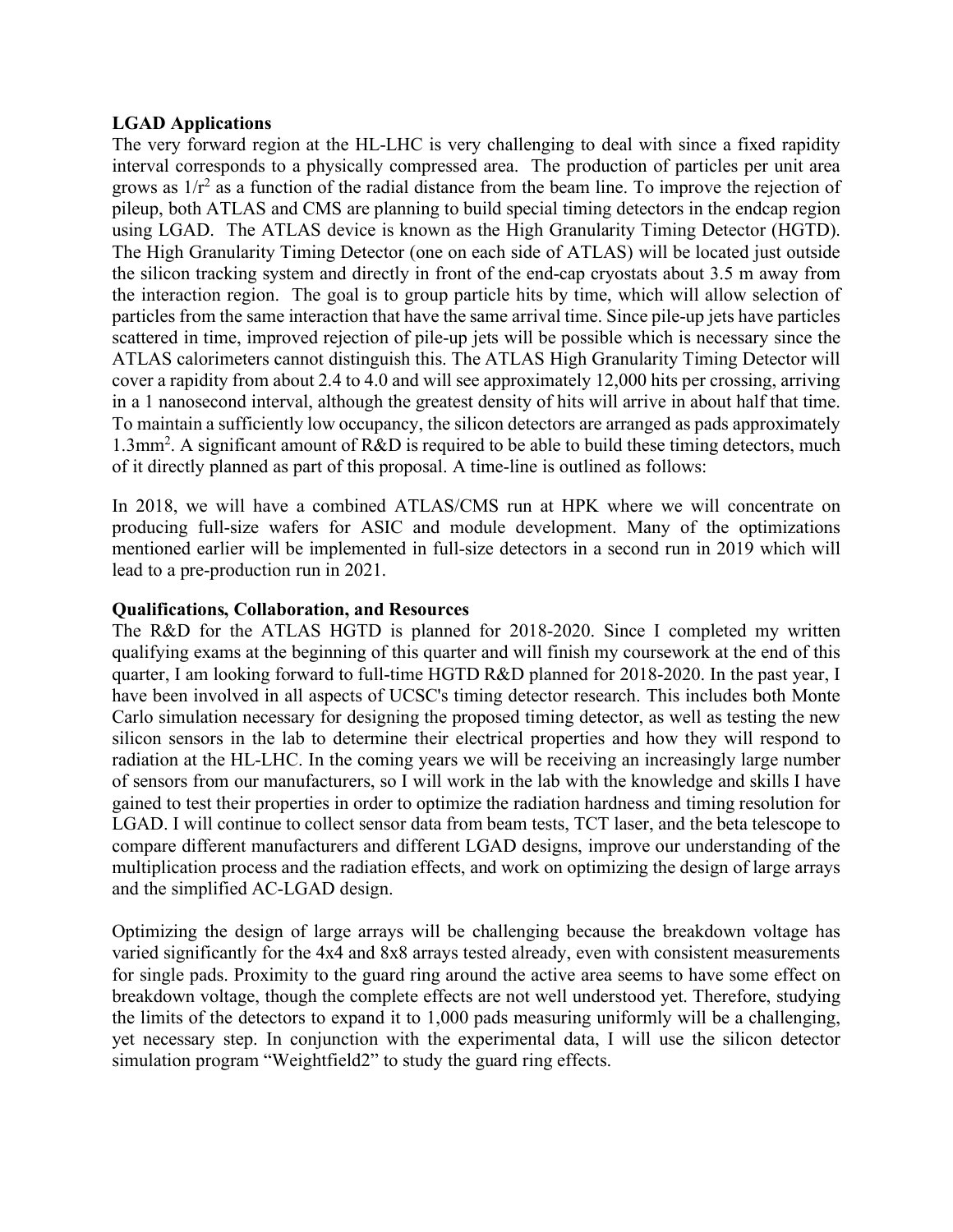## **LGAD Applications**

The very forward region at the HL-LHC is very challenging to deal with since a fixed rapidity interval corresponds to a physically compressed area. The production of particles per unit area grows as  $1/r^2$  as a function of the radial distance from the beam line. To improve the rejection of pileup, both ATLAS and CMS are planning to build special timing detectors in the endcap region using LGAD. The ATLAS device is known as the High Granularity Timing Detector (HGTD). The High Granularity Timing Detector (one on each side of ATLAS) will be located just outside the silicon tracking system and directly in front of the end-cap cryostats about 3.5 m away from the interaction region. The goal is to group particle hits by time, which will allow selection of particles from the same interaction that have the same arrival time. Since pile-up jets have particles scattered in time, improved rejection of pile-up jets will be possible which is necessary since the ATLAS calorimeters cannot distinguish this. The ATLAS High Granularity Timing Detector will cover a rapidity from about 2.4 to 4.0 and will see approximately 12,000 hits per crossing, arriving in a 1 nanosecond interval, although the greatest density of hits will arrive in about half that time. To maintain a sufficiently low occupancy, the silicon detectors are arranged as pads approximately 1.3mm<sup>2</sup> . A significant amount of R&D is required to be able to build these timing detectors, much of it directly planned as part of this proposal. A time-line is outlined as follows:

In 2018, we will have a combined ATLAS/CMS run at HPK where we will concentrate on producing full-size wafers for ASIC and module development. Many of the optimizations mentioned earlier will be implemented in full-size detectors in a second run in 2019 which will lead to a pre-production run in 2021.

## **Qualifications, Collaboration, and Resources**

The R&D for the ATLAS HGTD is planned for 2018-2020. Since I completed my written qualifying exams at the beginning of this quarter and will finish my coursework at the end of this quarter, I am looking forward to full-time HGTD R&D planned for 2018-2020. In the past year, I have been involved in all aspects of UCSC's timing detector research. This includes both Monte Carlo simulation necessary for designing the proposed timing detector, as well as testing the new silicon sensors in the lab to determine their electrical properties and how they will respond to radiation at the HL-LHC. In the coming years we will be receiving an increasingly large number of sensors from our manufacturers, so I will work in the lab with the knowledge and skills I have gained to test their properties in order to optimize the radiation hardness and timing resolution for LGAD. I will continue to collect sensor data from beam tests, TCT laser, and the beta telescope to compare different manufacturers and different LGAD designs, improve our understanding of the multiplication process and the radiation effects, and work on optimizing the design of large arrays and the simplified AC-LGAD design.

Optimizing the design of large arrays will be challenging because the breakdown voltage has varied significantly for the 4x4 and 8x8 arrays tested already, even with consistent measurements for single pads. Proximity to the guard ring around the active area seems to have some effect on breakdown voltage, though the complete effects are not well understood yet. Therefore, studying the limits of the detectors to expand it to 1,000 pads measuring uniformly will be a challenging, yet necessary step. In conjunction with the experimental data, I will use the silicon detector simulation program "Weightfield2" to study the guard ring effects.